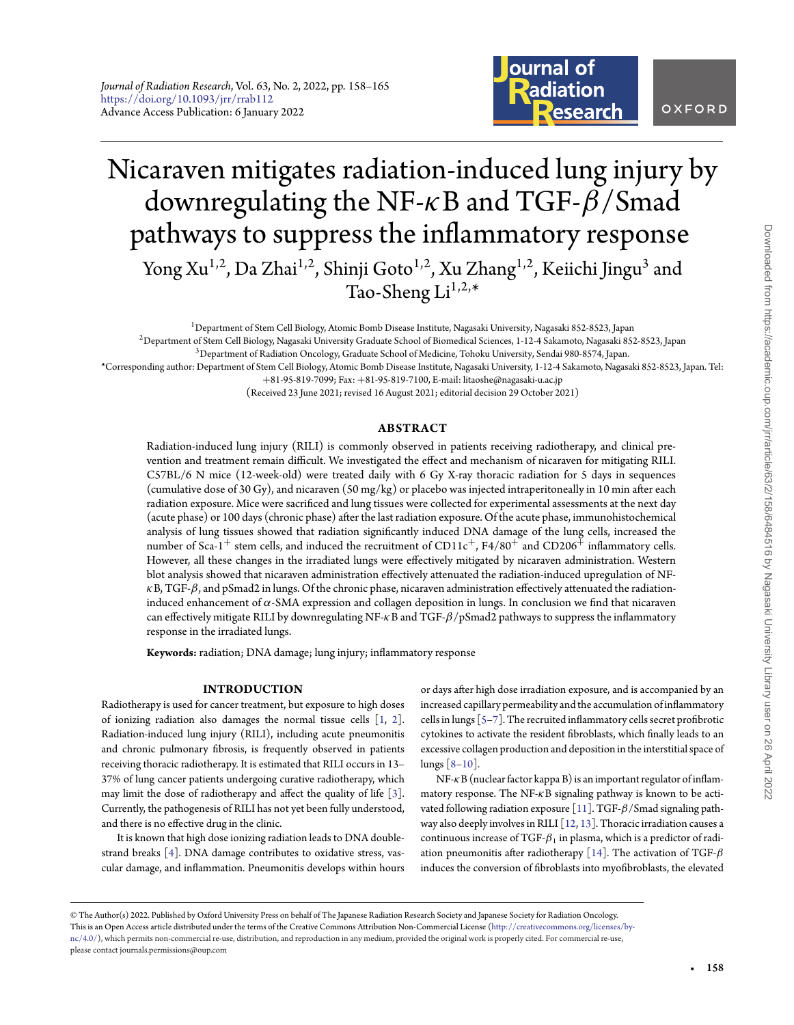

# Nicaraven mitigates radiation-induced lung injury by downregulating the NF-*κ*B and TGF-*β*/Smad pathways to suppress the inflammatory response Yong Xu<sup>1,2</sup>, Da Zhai<sup>1,2</sup>, Shinji Goto<sup>1,2</sup>, Xu Zhang<sup>1,2</sup>, Keiichi Jingu<sup>3</sup> and Tao-Sheng  $Li^{1,2,*}$

<sup>1</sup>Department of Stem Cell Biology, Atomic Bomb Disease Institute, Nagasaki University, Nagasaki 852-8523, Japan 2Department of Stem Cell Biology, Nagasaki University Graduate School of Biomedical Sciences, 1-12-4 Sakamoto, Nagasaki 852-8523, Japan

3Department of Radiation Oncology, Graduate School of Medicine, Tohoku University, Sendai 980-8574, Japan.

**\***Corresponding author: Department of Stem Cell Biology, Atomic Bomb Disease Institute, Nagasaki University, 1-12-4 Sakamoto, Nagasaki 852-8523, Japan. Tel:

+81-95-819-7099; Fax: +81-95-819-7100, E-mail: litaoshe@nagasaki-u.ac.jp

(Received 23 June 2021; revised 16 August 2021; editorial decision 29 October 2021)

## **ABSTRACT**

Radiation-induced lung injury (RILI) is commonly observed in patients receiving radiotherapy, and clinical prevention and treatment remain difficult. We investigated the effect and mechanism of nicaraven for mitigating RILI. C57BL/6 N mice (12-week-old) were treated daily with 6 Gy X-ray thoracic radiation for 5 days in sequences (cumulative dose of 30 Gy), and nicaraven  $(50 \text{ mg/kg})$  or placebo was injected intraperitoneally in 10 min after each radiation exposure. Mice were sacrificed and lung tissues were collected for experimental assessments at the next day (acute phase) or 100 days (chronic phase) after the last radiation exposure. Of the acute phase, immunohistochemical analysis of lung tissues showed that radiation significantly induced DNA damage of the lung cells, increased the number of Sca-1<sup>+</sup> stem cells, and induced the recruitment of CD11c<sup>+</sup>, F4/80<sup>+</sup> and CD206<sup>+</sup> inflammatory cells. However, all these changes in the irradiated lungs were effectively mitigated by nicaraven administration. Western blot analysis showed that nicaraven administration effectively attenuated the radiation-induced upregulation of NF*κ*B, TGF-*β*, and pSmad2 in lungs. Of the chronic phase, nicaraven administration effectively attenuated the radiationinduced enhancement of *α*-SMA expression and collagen deposition in lungs. In conclusion we find that nicaraven can effectively mitigate RILI by downregulating NF-*κ*B and TGF-*β*/pSmad2 pathways to suppress the inflammatory response in the irradiated lungs.

**Keywords:** radiation; DNA damage; lung injury; inflammatory response

#### **INTRODUCTION**

Radiotherapy is used for cancer treatment, but exposure to high doses of ionizing radiation also damages the normal tissue cells [\[1,](#page-5-0) [2\]](#page-5-1). Radiation-induced lung injury (RILI), including acute pneumonitis and chronic pulmonary fibrosis, is frequently observed in patients receiving thoracic radiotherapy. It is estimated that RILI occurs in 13– 37% of lung cancer patients undergoing curative radiotherapy, which may limit the dose of radiotherapy and affect the quality of life [\[3\]](#page-5-2). Currently, the pathogenesis of RILI has not yet been fully understood, and there is no effective drug in the clinic.

It is known that high dose ionizing radiation leads to DNA doublestrand breaks [\[4\]](#page-5-3). DNA damage contributes to oxidative stress, vascular damage, and inflammation. Pneumonitis develops within hours or days after high dose irradiation exposure, and is accompanied by an increased capillary permeability and the accumulation of inflammatory cells in lungs [\[5–](#page-5-4)[7\]](#page-6-0). The recruited inflammatory cells secret profibrotic cytokines to activate the resident fibroblasts, which finally leads to an excessive collagen production and deposition in the interstitial space of lungs [\[8](#page-6-1)[–10\]](#page-6-2).

NF-*κ*B (nuclear factor kappa B) is an important regulator of inflammatory response. The NF-*κ*B signaling pathway is known to be activated following radiation exposure [\[11\]](#page-6-3). TGF-*β*/Smad signaling path-way also deeply involves in RILI [\[12,](#page-6-4) [13\]](#page-6-5). Thoracic irradiation causes a continuous increase of TGF- $\beta_1$  in plasma, which is a predictor of radiation pneumonitis after radiotherapy [\[14\]](#page-6-6). The activation of TGF-*β* induces the conversion of fibroblasts into myofibroblasts, the elevated

© The Author(s) 2022. Published by Oxford University Press on behalf of The Japanese Radiation Research Society and Japanese Society for Radiation Oncology. This is an Open Access article distributed under the terms of the Creative Commons Attribution Non-Commercial License [\(http://creativecommons.org/licenses/by](http://creativecommons.org/licenses/by-nc/4.0/) $nc/4.0/$ ), which permits non-commercial re-use, distribution, and reproduction in any medium, provided the original work is properly cited. For commercial re-use, please contact journals.permissions@oup.com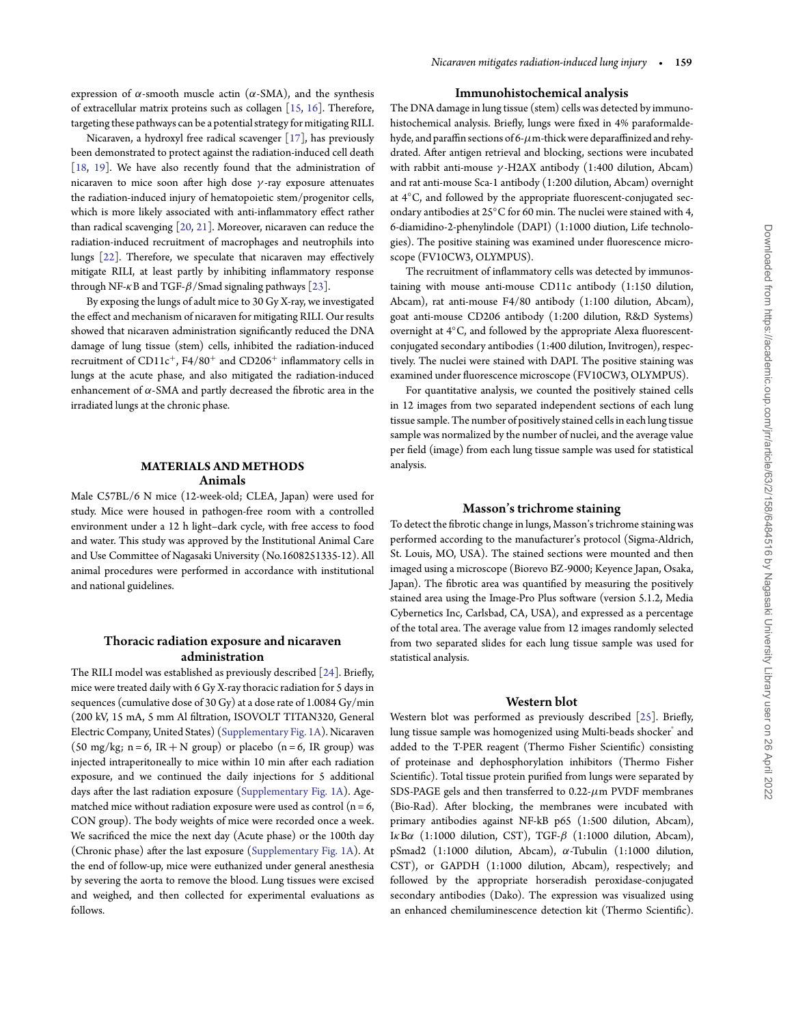expression of *α*-smooth muscle actin (*α*-SMA), and the synthesis of extracellular matrix proteins such as collagen [\[15,](#page-6-7) [16\]](#page-6-8). Therefore, targeting these pathways can be a potential strategy for mitigating RILI.

Nicaraven, a hydroxyl free radical scavenger [\[17\]](#page-6-9), has previously been demonstrated to protect against the radiation-induced cell death [\[18,](#page-6-10) [19\]](#page-6-11). We have also recently found that the administration of nicaraven to mice soon after high dose *γ* -ray exposure attenuates the radiation-induced injury of hematopoietic stem/progenitor cells, which is more likely associated with anti-inflammatory effect rather than radical scavenging [\[20,](#page-6-12) [21\]](#page-6-13). Moreover, nicaraven can reduce the radiation-induced recruitment of macrophages and neutrophils into lungs [\[22\]](#page-6-14). Therefore, we speculate that nicaraven may effectively mitigate RILI, at least partly by inhibiting inflammatory response through NF-*κ*B and TGF-*β*/Smad signaling pathways [\[23\]](#page-6-15).

By exposing the lungs of adult mice to 30 Gy X-ray, we investigated the effect and mechanism of nicaraven for mitigating RILI. Our results showed that nicaraven administration significantly reduced the DNA damage of lung tissue (stem) cells, inhibited the radiation-induced recruitment of  $CD11c^+$ ,  $F4/80^+$  and  $CD206^+$  inflammatory cells in lungs at the acute phase, and also mitigated the radiation-induced enhancement of *α*-SMA and partly decreased the fibrotic area in the irradiated lungs at the chronic phase.

## **MATERIALS AND METHODS** Animals

Male C57BL/6 N mice (12-week-old; CLEA, Japan) were used for study. Mice were housed in pathogen-free room with a controlled environment under a 12 h light–dark cycle, with free access to food and water. This study was approved by the Institutional Animal Care and Use Committee of Nagasaki University (No.1608251335-12). All animal procedures were performed in accordance with institutional and national guidelines.

## Thoracic radiation exposure and nicaraven administration

The RILI model was established as previously described [\[24\]](#page-6-16). Briefly, mice were treated daily with 6 Gy X-ray thoracic radiation for 5 days in sequences (cumulative dose of 30 Gy) at a dose rate of 1.0084 Gy/min (200 kV, 15 mA, 5 mm Al filtration, ISOVOLT TITAN320, General Electric Company, United States) [\(Supplementary Fig. 1A\)](https://academic.oup.com/jrr/article-lookup/doi/10.1093/jrr/rrab112#supplementary-data). Nicaraven (50 mg/kg;  $n = 6$ , IR + N group) or placebo ( $n = 6$ , IR group) was injected intraperitoneally to mice within 10 min after each radiation exposure, and we continued the daily injections for 5 additional days after the last radiation exposure [\(Supplementary Fig. 1A\)](https://academic.oup.com/jrr/article-lookup/doi/10.1093/jrr/rrab112#supplementary-data). Agematched mice without radiation exposure were used as control ( $n = 6$ , CON group). The body weights of mice were recorded once a week. We sacrificed the mice the next day (Acute phase) or the 100th day (Chronic phase) after the last exposure [\(Supplementary Fig. 1A\)](https://academic.oup.com/jrr/article-lookup/doi/10.1093/jrr/rrab112#supplementary-data). At the end of follow-up, mice were euthanized under general anesthesia by severing the aorta to remove the blood. Lung tissues were excised and weighed, and then collected for experimental evaluations as follows.

### Immunohistochemical analysis

The DNA damage in lung tissue (stem) cells was detected by immunohistochemical analysis. Briefly, lungs were fixed in 4% paraformaldehyde, and paraffin sections of 6-*μ*m-thick were deparaffinized and rehydrated. After antigen retrieval and blocking, sections were incubated with rabbit anti-mouse *γ* -H2AX antibody (1:400 dilution, Abcam) and rat anti-mouse Sca-1 antibody (1:200 dilution, Abcam) overnight at 4◦C, and followed by the appropriate fluorescent-conjugated secondary antibodies at 25◦C for 60 min. The nuclei were stained with 4, 6-diamidino-2-phenylindole (DAPI) (1:1000 diution, Life technologies). The positive staining was examined under fluorescence microscope (FV10CW3, OLYMPUS).

The recruitment of inflammatory cells was detected by immunostaining with mouse anti-mouse CD11c antibody (1:150 dilution, Abcam), rat anti-mouse F4/80 antibody (1:100 dilution, Abcam), goat anti-mouse CD206 antibody (1:200 dilution, R&D Systems) overnight at 4◦C, and followed by the appropriate Alexa fluorescentconjugated secondary antibodies (1:400 dilution, Invitrogen), respectively. The nuclei were stained with DAPI. The positive staining was examined under fluorescence microscope (FV10CW3, OLYMPUS).

For quantitative analysis, we counted the positively stained cells in 12 images from two separated independent sections of each lung tissue sample. The number of positively stained cells in each lung tissue sample was normalized by the number of nuclei, and the average value per field (image) from each lung tissue sample was used for statistical analysis.

## Masson's trichrome staining

To detect the fibrotic change in lungs, Masson's trichrome staining was performed according to the manufacturer's protocol (Sigma-Aldrich, St. Louis, MO, USA). The stained sections were mounted and then imaged using a microscope (Biorevo BZ-9000; Keyence Japan, Osaka, Japan). The fibrotic area was quantified by measuring the positively stained area using the Image-Pro Plus software (version 5.1.2, Media Cybernetics Inc, Carlsbad, CA, USA), and expressed as a percentage of the total area. The average value from 12 images randomly selected from two separated slides for each lung tissue sample was used for statistical analysis.

### Western blot

Western blot was performed as previously described [\[25\]](#page-6-17). Briefly, lung tissue sample was homogenized using Multi-beads shocker<sup>®</sup> and added to the T-PER reagent (Thermo Fisher Scientific) consisting of proteinase and dephosphorylation inhibitors (Thermo Fisher Scientific). Total tissue protein purified from lungs were separated by SDS-PAGE gels and then transferred to 0.22-*μ*m PVDF membranes (Bio-Rad). After blocking, the membranes were incubated with primary antibodies against NF-kB p65 (1:500 dilution, Abcam), I*κ*B*α* (1:1000 dilution, CST), TGF-*β* (1:1000 dilution, Abcam), pSmad2 (1:1000 dilution, Abcam), *α*-Tubulin (1:1000 dilution, CST), or GAPDH (1:1000 dilution, Abcam), respectively; and followed by the appropriate horseradish peroxidase-conjugated secondary antibodies (Dako). The expression was visualized using an enhanced chemiluminescence detection kit (Thermo Scientific).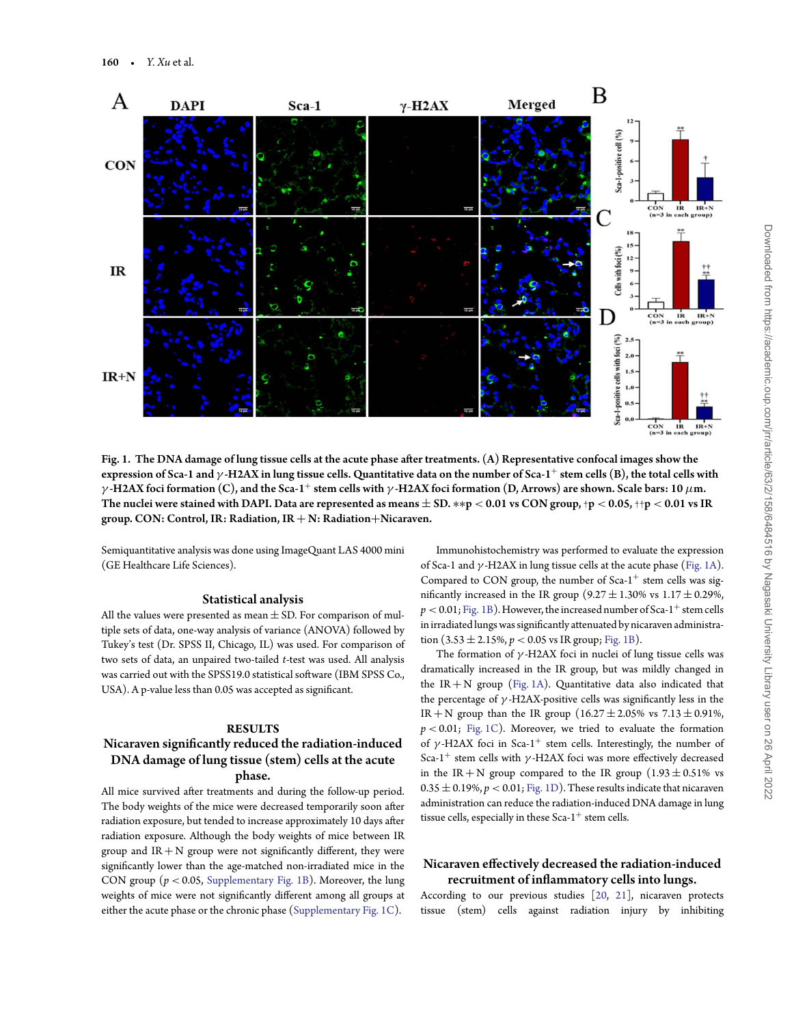

<span id="page-2-0"></span>Fig. 1. The DNA damage of lung tissue cells at the acute phase after treatments. (A) Representative confocal images show the expression of Sca-1 and *γ* -H2AX in lung tissue cells. Quantitative data on the number of Sca-1<sup>+</sup> stem cells (B), the total cells with *γ* -H2AX foci formation (C), and the Sca-1<sup>+</sup> stem cells with *γ* -H2AX foci formation (D, Arrows) are shown. Scale bars: 10 *μ*m. The nuclei were stained with DAPI. Data are represented as means ± SD. ∗∗p *<* 0.01 vs CON group,†p *<* 0.05,††p *<* 0.01 vs IR group. CON: Control, IR: Radiation, IR + N: Radiation+Nicaraven.

Semiquantitative analysis was done using ImageQuant LAS 4000 mini (GE Healthcare Life Sciences).

### Statistical analysis

All the values were presented as mean  $\pm$  SD. For comparison of multiple sets of data, one-way analysis of variance (ANOVA) followed by Tukey's test (Dr. SPSS II, Chicago, IL) was used. For comparison of two sets of data, an unpaired two-tailed *t*-test was used. All analysis was carried out with the SPSS19.0 statistical software (IBM SPSS Co., USA). A p-value less than 0.05 was accepted as significant.

## **RESULTS**

# Nicaraven significantly reduced the radiation-induced DNA damage of lung tissue (stem) cells at the acute phase.

All mice survived after treatments and during the follow-up period. The body weights of the mice were decreased temporarily soon after radiation exposure, but tended to increase approximately 10 days after radiation exposure. Although the body weights of mice between IR group and  $IR + N$  group were not significantly different, they were significantly lower than the age-matched non-irradiated mice in the CON group ( $p < 0.05$ , [Supplementary Fig. 1B\)](https://academic.oup.com/jrr/article-lookup/doi/10.1093/jrr/rrab112#supplementary-data). Moreover, the lung weights of mice were not significantly different among all groups at either the acute phase or the chronic phase [\(Supplementary Fig. 1C\)](https://academic.oup.com/jrr/article-lookup/doi/10.1093/jrr/rrab112#supplementary-data).

Immunohistochemistry was performed to evaluate the expression of Sca-1 and *γ* -H2AX in lung tissue cells at the acute phase [\(Fig. 1A\)](#page-2-0). Compared to CON group, the number of  $Sca-1^+$  stem cells was significantly increased in the IR group  $(9.27 \pm 1.30\% \text{ vs } 1.17 \pm 0.29\%$ ,  $p < 0.01$ ; [Fig. 1B\)](#page-2-0). However, the increased number of Sca-1<sup>+</sup> stem cells in irradiated lungs was significantly attenuated by nicaraven administration  $(3.53 \pm 2.15\%, p < 0.05 \text{ vs } IR \text{ group}; \text{Fig. 1B}).$ 

The formation of *γ* -H2AX foci in nuclei of lung tissue cells was dramatically increased in the IR group, but was mildly changed in the  $IR + N$  group [\(Fig. 1A\)](#page-2-0). Quantitative data also indicated that the percentage of *γ* -H2AX-positive cells was significantly less in the IR + N group than the IR group  $(16.27 \pm 2.05\% \text{ vs } 7.13 \pm 0.91\%$ , *p <* 0.01; [Fig. 1C\)](#page-2-0). Moreover, we tried to evaluate the formation of  $\gamma$ -H2AX foci in Sca-1<sup>+</sup> stem cells. Interestingly, the number of Sca-1<sup>+</sup> stem cells with *γ* -H2AX foci was more effectively decreased in the IR + N group compared to the IR group  $(1.93 \pm 0.51\%)$  vs  $0.35 \pm 0.19$ %,  $p < 0.01$ ; [Fig. 1D\)](#page-2-0). These results indicate that nicaraven administration can reduce the radiation-induced DNA damage in lung tissue cells, especially in these  $Sca-1^+$  stem cells.

## Nicaraven effectively decreased the radiation-induced recruitment of inflammatory cells into lungs.

According to our previous studies [\[20,](#page-6-12) [21\]](#page-6-13), nicaraven protects tissue (stem) cells against radiation injury by inhibiting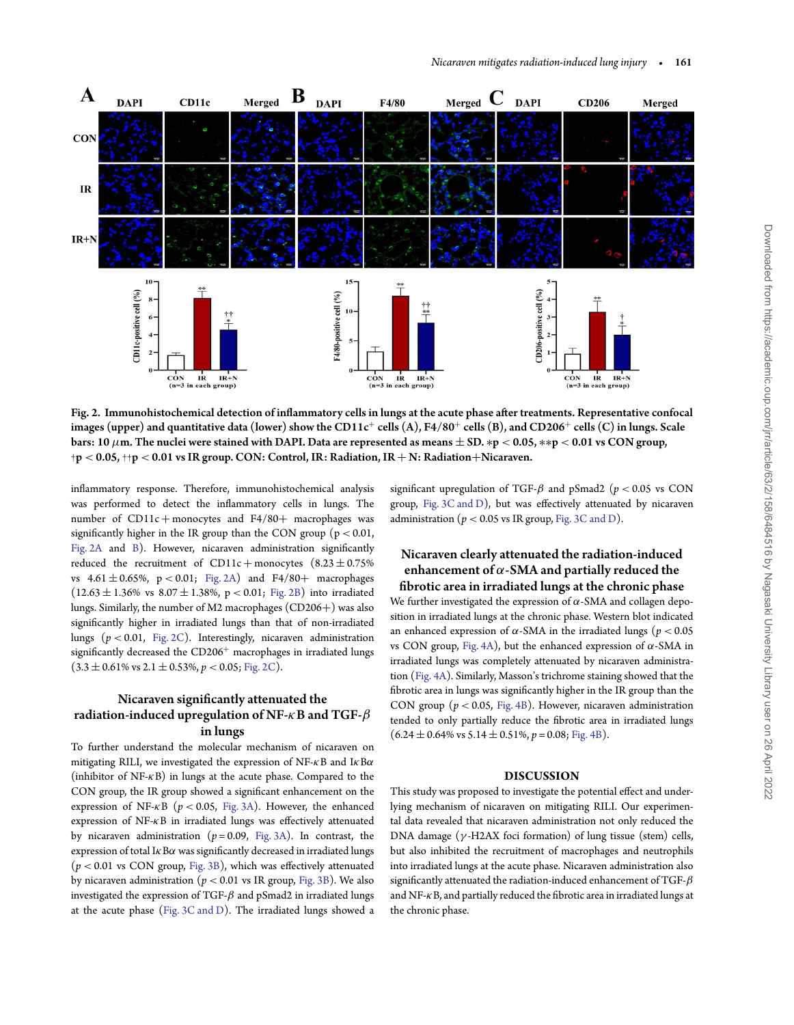

<span id="page-3-0"></span>Fig. 2. Immunohistochemical detection of inflammatory cells in lungs at the acute phase after treatments. Representative confocal images (upper) and quantitative data (lower) show the CD11c<sup>+</sup> cells (A), F4/80<sup>+</sup> cells (B), and CD206<sup>+</sup> cells (C) in lungs. Scale bars: 10 *μ*m. The nuclei were stained with DAPI. Data are represented as means ± SD. ∗p *<* 0.05, ∗∗p *<* 0.01 vs CON group, †p *<* 0.05,††p *<* 0.01 vs IR group. CON: Control, IR: Radiation, IR + N: Radiation+Nicaraven.

inflammatory response. Therefore, immunohistochemical analysis was performed to detect the inflammatory cells in lungs. The number of  $CD11c + \text{monocytes}$  and  $F4/80 + \text{ macrophages}$  was significantly higher in the IR group than the CON group ( $p < 0.01$ , [Fig. 2A](#page-3-0) and [B\)](#page-3-0). However, nicaraven administration significantly reduced the recruitment of  $CD11c + \text{monocytes}$  (8.23  $\pm$  0.75%) vs 4.61 ± 0.65%, p *<* 0.01; [Fig. 2A\)](#page-3-0) and F4/80+ macrophages  $(12.63 \pm 1.36\% \text{ vs } 8.07 \pm 1.38\%, \text{ p} < 0.01; \text{ Fig. 2B})$  into irradiated lungs. Similarly, the number of M2 macrophages (CD206+) was also significantly higher in irradiated lungs than that of non-irradiated lungs (*p <* 0.01, [Fig. 2C\)](#page-3-0). Interestingly, nicaraven administration significantly decreased the CD206<sup>+</sup> macrophages in irradiated lungs  $(3.3 \pm 0.61\% \text{ vs } 2.1 \pm 0.53\%, p < 0.05; \text{ Fig. 2C}).$ 

# Nicaraven significantly attenuated the radiation-induced upregulation of NF-*κ*B and TGF-*β* in lungs

To further understand the molecular mechanism of nicaraven on mitigating RILI, we investigated the expression of NF-*κ*B and I*κ*B*α* (inhibitor of NF-*κ*B) in lungs at the acute phase. Compared to the CON group, the IR group showed a significant enhancement on the expression of NF-*κ*B (*p <* 0.05, [Fig. 3A\)](#page-4-0). However, the enhanced expression of NF-*κ*B in irradiated lungs was effectively attenuated by nicaraven administration (*p* = 0.09, [Fig. 3A\)](#page-4-0). In contrast, the expression of total I*κ*B*α* was significantly decreased in irradiated lungs (*p <* 0.01 vs CON group, [Fig. 3B\)](#page-4-0), which was effectively attenuated by nicaraven administration ( $p < 0.01$  vs IR group, [Fig. 3B\)](#page-4-0). We also investigated the expression of TGF-*β* and pSmad2 in irradiated lungs at the acute phase [\(Fig. 3C and D\)](#page-4-0). The irradiated lungs showed a significant upregulation of TGF- $\beta$  and pSmad2 ( $p < 0.05$  vs CON group, [Fig. 3C and D\)](#page-4-0), but was effectively attenuated by nicaraven administration ( $p < 0.05$  vs IR group, [Fig. 3C and D\)](#page-4-0).

# Nicaraven clearly attenuated the radiation-induced enhancement of *α*-SMA and partially reduced the fibrotic area in irradiated lungs at the chronic phase We further investigated the expression of *α*-SMA and collagen deposition in irradiated lungs at the chronic phase. Western blot indicated an enhanced expression of  $\alpha$ -SMA in the irradiated lungs ( $p < 0.05$ ) vs CON group, [Fig. 4A\)](#page-4-1), but the enhanced expression of *α*-SMA in irradiated lungs was completely attenuated by nicaraven administration [\(Fig. 4A\)](#page-4-1). Similarly, Masson's trichrome staining showed that the fibrotic area in lungs was significantly higher in the IR group than the CON group (*p <* 0.05, [Fig. 4B\)](#page-4-1). However, nicaraven administration tended to only partially reduce the fibrotic area in irradiated lungs  $(6.24 \pm 0.64\% \text{ vs } 5.14 \pm 0.51\%, p = 0.08; \text{Fig. 4B}).$

## **DISCUSSION**

This study was proposed to investigate the potential effect and underlying mechanism of nicaraven on mitigating RILI. Our experimental data revealed that nicaraven administration not only reduced the DNA damage (*γ* -H2AX foci formation) of lung tissue (stem) cells, but also inhibited the recruitment of macrophages and neutrophils into irradiated lungs at the acute phase. Nicaraven administration also significantly attenuated the radiation-induced enhancement of TGF-*β* and NF-*κ*B, and partially reduced the fibrotic area in irradiated lungs at the chronic phase.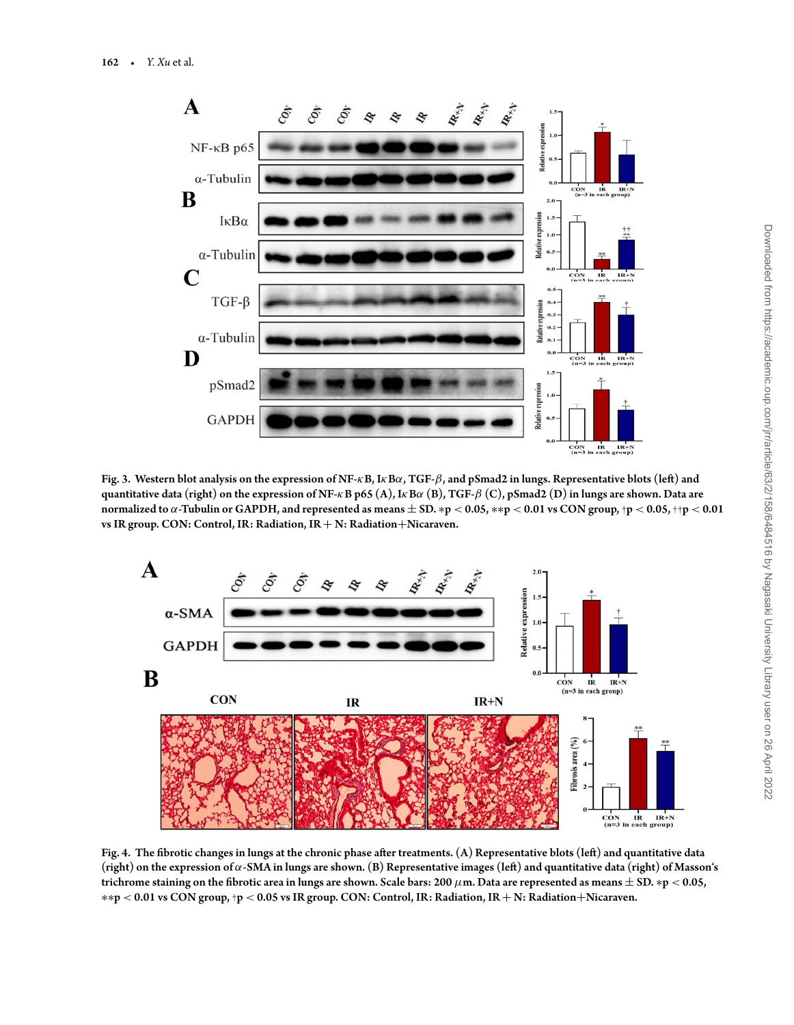

<span id="page-4-0"></span>Fig. 3. Western blot analysis on the expression of NF-*κ*B, I*κ*B*α*, TGF-*β*, and pSmad2 in lungs. Representative blots (left) and quantitative data (right) on the expression of NF-*κ*B p65 (A), I*κ*B*α* (B), TGF-*β* (C), pSmad2 (D) in lungs are shown. Data are normalized to *α*-Tubulin or GAPDH, and represented as means ± SD. ∗p *<* 0.05, ∗∗p *<* 0.01 vs CON group,†p *<* 0.05,††p *<* 0.01 vs IR group. CON: Control, IR: Radiation, IR + N: Radiation+Nicaraven.



<span id="page-4-1"></span>Fig. 4. The fibrotic changes in lungs at the chronic phase after treatments. (A) Representative blots (left) and quantitative data (right) on the expression of *α*-SMA in lungs are shown. (B) Representative images (left) and quantitative data (right) of Masson's trichrome staining on the fibrotic area in lungs are shown. Scale bars: 200 *μ*m. Data are represented as means ± SD. ∗p *<* 0.05, ∗∗p *<* 0.01 vs CON group,†p *<* 0.05 vs IR group. CON: Control, IR: Radiation, IR + N: Radiation+Nicaraven.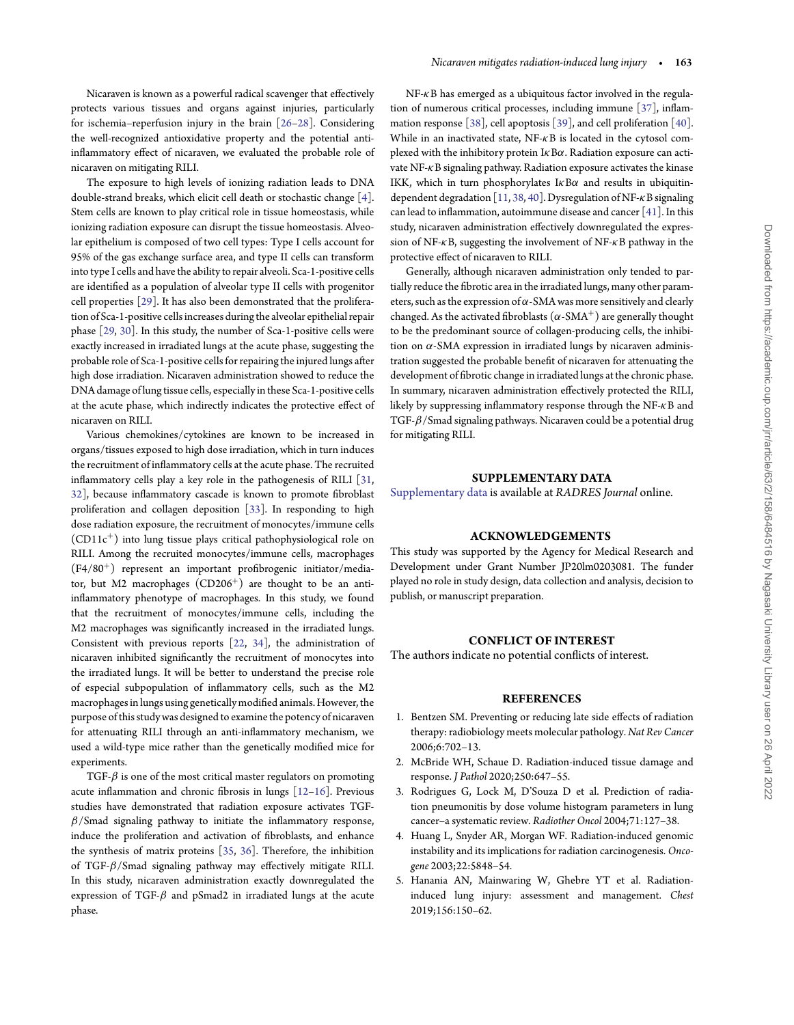Nicaraven is known as a powerful radical scavenger that effectively protects various tissues and organs against injuries, particularly for ischemia–reperfusion injury in the brain [\[26–](#page-6-18)[28\]](#page-6-19). Considering the well-recognized antioxidative property and the potential antiinflammatory effect of nicaraven, we evaluated the probable role of nicaraven on mitigating RILI.

The exposure to high levels of ionizing radiation leads to DNA double-strand breaks, which elicit cell death or stochastic change [\[4\]](#page-5-3). Stem cells are known to play critical role in tissue homeostasis, while ionizing radiation exposure can disrupt the tissue homeostasis. Alveolar epithelium is composed of two cell types: Type I cells account for 95% of the gas exchange surface area, and type II cells can transform into type I cells and have the ability to repair alveoli. Sca-1-positive cells are identified as a population of alveolar type II cells with progenitor cell properties [\[29\]](#page-6-20). It has also been demonstrated that the proliferation of Sca-1-positive cells increases during the alveolar epithelial repair phase [\[29,](#page-6-20) [30\]](#page-6-21). In this study, the number of Sca-1-positive cells were exactly increased in irradiated lungs at the acute phase, suggesting the probable role of Sca-1-positive cells for repairing the injured lungs after high dose irradiation. Nicaraven administration showed to reduce the DNA damage of lung tissue cells, especially in these Sca-1-positive cells at the acute phase, which indirectly indicates the protective effect of nicaraven on RILI.

Various chemokines/cytokines are known to be increased in organs/tissues exposed to high dose irradiation, which in turn induces the recruitment of inflammatory cells at the acute phase. The recruited inflammatory cells play a key role in the pathogenesis of RILI [\[31,](#page-6-22) [32\]](#page-6-23), because inflammatory cascade is known to promote fibroblast proliferation and collagen deposition [\[33\]](#page-6-24). In responding to high dose radiation exposure, the recruitment of monocytes/immune cells (CD11c+) into lung tissue plays critical pathophysiological role on RILI. Among the recruited monocytes/immune cells, macrophages (F4/80+) represent an important profibrogenic initiator/mediator, but M2 macrophages  $(CD206<sup>+</sup>)$  are thought to be an antiinflammatory phenotype of macrophages. In this study, we found that the recruitment of monocytes/immune cells, including the M2 macrophages was significantly increased in the irradiated lungs. Consistent with previous reports [\[22,](#page-6-14) [34\]](#page-6-25), the administration of nicaraven inhibited significantly the recruitment of monocytes into the irradiated lungs. It will be better to understand the precise role of especial subpopulation of inflammatory cells, such as the M2 macrophages in lungs using genetically modified animals. However, the purpose of this study was designed to examine the potency of nicaraven for attenuating RILI through an anti-inflammatory mechanism, we used a wild-type mice rather than the genetically modified mice for experiments.

TGF-*β* is one of the most critical master regulators on promoting acute inflammation and chronic fibrosis in lungs [\[12](#page-6-4)[–16\]](#page-6-8). Previous studies have demonstrated that radiation exposure activates TGF*β*/Smad signaling pathway to initiate the inflammatory response, induce the proliferation and activation of fibroblasts, and enhance the synthesis of matrix proteins [\[35,](#page-6-26) [36\]](#page-6-27). Therefore, the inhibition of TGF-*β*/Smad signaling pathway may effectively mitigate RILI. In this study, nicaraven administration exactly downregulated the expression of TGF-*β* and pSmad2 in irradiated lungs at the acute phase.

NF-*κ*B has emerged as a ubiquitous factor involved in the regulation of numerous critical processes, including immune [\[37\]](#page-6-28), inflammation response [\[38\]](#page-6-29), cell apoptosis [\[39\]](#page-6-30), and cell proliferation [\[40\]](#page-7-0). While in an inactivated state, NF-*κ*B is located in the cytosol complexed with the inhibitory protein I*κ*B*α*. Radiation exposure can activate NF-*κ*B signaling pathway. Radiation exposure activates the kinase IKK, which in turn phosphorylates I*κ*B*α* and results in ubiquitindependent degradation [\[11,](#page-6-3) [38,](#page-6-29) [40\]](#page-7-0). Dysregulation of NF-*κ*B signaling can lead to inflammation, autoimmune disease and cancer [\[41\]](#page-7-1). In this study, nicaraven administration effectively downregulated the expression of NF-*κ*B, suggesting the involvement of NF-*κ*B pathway in the protective effect of nicaraven to RILI.

Generally, although nicaraven administration only tended to partially reduce the fibrotic area in the irradiated lungs, many other parameters, such as the expression of *α*-SMA was more sensitively and clearly changed. As the activated fibroblasts  $(\alpha$ -SMA<sup>+</sup>) are generally thought to be the predominant source of collagen-producing cells, the inhibition on *α*-SMA expression in irradiated lungs by nicaraven administration suggested the probable benefit of nicaraven for attenuating the development of fibrotic change in irradiated lungs at the chronic phase. In summary, nicaraven administration effectively protected the RILI, likely by suppressing inflammatory response through the NF-*κ*B and TGF-*β*/Smad signaling pathways. Nicaraven could be a potential drug for mitigating RILI.

#### **SUPPLEMENTARY DATA**

[Supplementary data](https://academic.oup.com/jrr/article-lookup/doi/10.1093/jrr/rrab112#supplementary-data) is available at *RADRES Journal* online.

## **ACKNOWLEDGEMENTS**

This study was supported by the Agency for Medical Research and Development under Grant Number JP20lm0203081. The funder played no role in study design, data collection and analysis, decision to publish, or manuscript preparation.

#### **CONFLICT OF INTEREST**

The authors indicate no potential conflicts of interest.

#### **REFERENCES**

- <span id="page-5-0"></span>1. Bentzen SM. Preventing or reducing late side effects of radiation therapy: radiobiology meets molecular pathology. *Nat Rev Cancer* 2006;6:702–13.
- <span id="page-5-1"></span>2. McBride WH, Schaue D. Radiation-induced tissue damage and response. *J Pathol* 2020;250:647–55.
- <span id="page-5-2"></span>3. Rodrigues G, Lock M, D'Souza D et al. Prediction of radiation pneumonitis by dose volume histogram parameters in lung cancer–a systematic review. *Radiother Oncol* 2004;71:127–38.
- <span id="page-5-3"></span>4. Huang L, Snyder AR, Morgan WF. Radiation-induced genomic instability and its implications for radiation carcinogenesis. *Oncogene* 2003;22:5848–54.
- <span id="page-5-4"></span>5. Hanania AN, Mainwaring W, Ghebre YT et al. Radiationinduced lung injury: assessment and management. *Chest* 2019;156:150–62.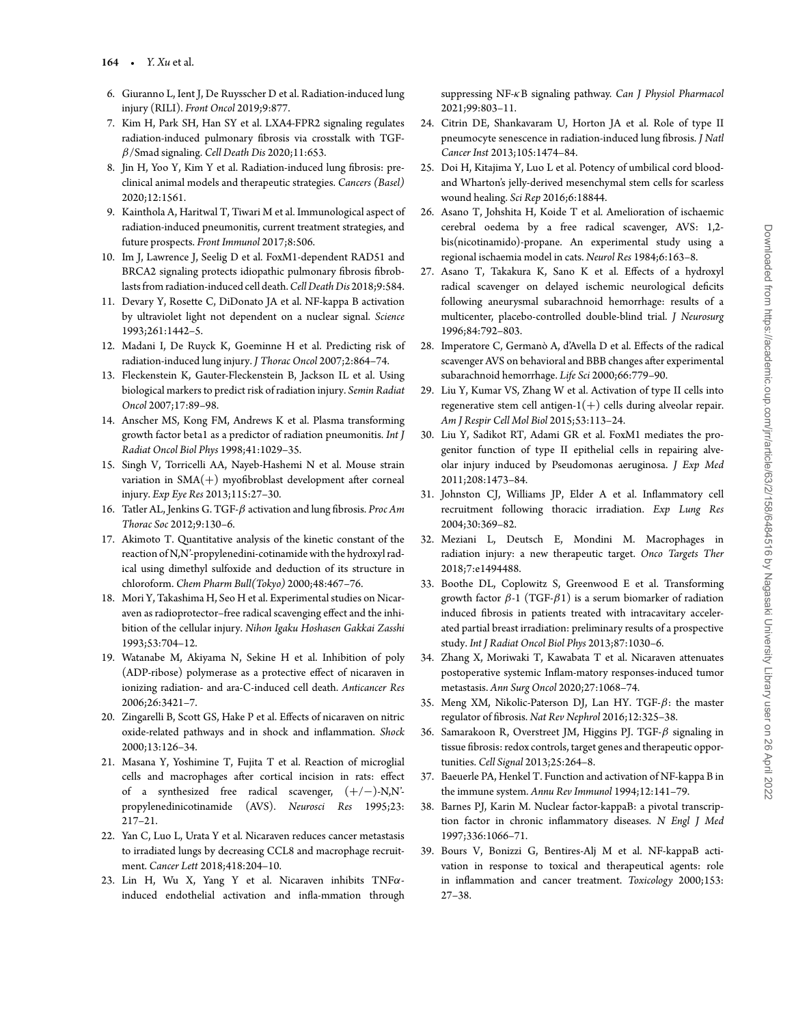- 6. Giuranno L, Ient J, De Ruysscher D et al. Radiation-induced lung injury (RILI). *Front Oncol* 2019;9:877.
- <span id="page-6-0"></span>7. Kim H, Park SH, Han SY et al. LXA4-FPR2 signaling regulates radiation-induced pulmonary fibrosis via crosstalk with TGF*β*/Smad signaling. *Cell Death Dis* 2020;11:653.
- <span id="page-6-1"></span>8. Jin H, Yoo Y, Kim Y et al. Radiation-induced lung fibrosis: preclinical animal models and therapeutic strategies. *Cancers (Basel)* 2020;12:1561.
- 9. Kainthola A, Haritwal T, Tiwari M et al. Immunological aspect of radiation-induced pneumonitis, current treatment strategies, and future prospects. *Front Immunol* 2017;8:506.
- <span id="page-6-2"></span>10. Im J, Lawrence J, Seelig D et al. FoxM1-dependent RAD51 and BRCA2 signaling protects idiopathic pulmonary fibrosis fibroblasts from radiation-induced cell death.*Cell Death Dis* 2018;9:584.
- <span id="page-6-3"></span>11. Devary Y, Rosette C, DiDonato JA et al. NF-kappa B activation by ultraviolet light not dependent on a nuclear signal. *Science* 1993;261:1442–5.
- <span id="page-6-4"></span>12. Madani I, De Ruyck K, Goeminne H et al. Predicting risk of radiation-induced lung injury. *J Thorac Oncol* 2007;2:864–74.
- <span id="page-6-5"></span>13. Fleckenstein K, Gauter-Fleckenstein B, Jackson IL et al. Using biological markers to predict risk of radiation injury. *Semin Radiat Oncol* 2007;17:89–98.
- <span id="page-6-6"></span>14. Anscher MS, Kong FM, Andrews K et al. Plasma transforming growth factor beta1 as a predictor of radiation pneumonitis. *Int J Radiat Oncol Biol Phys* 1998;41:1029–35.
- <span id="page-6-7"></span>15. Singh V, Torricelli AA, Nayeb-Hashemi N et al. Mouse strain variation in SMA(+) myofibroblast development after corneal injury. *Exp Eye Res* 2013;115:27–30.
- <span id="page-6-8"></span>16. Tatler AL, Jenkins G. TGF-*β* activation and lung fibrosis. *Proc Am Thorac Soc* 2012;9:130–6.
- <span id="page-6-9"></span>17. Akimoto T. Quantitative analysis of the kinetic constant of the reaction of N,N'-propylenedini-cotinamide with the hydroxyl radical using dimethyl sulfoxide and deduction of its structure in chloroform. *Chem Pharm Bull(Tokyo)* 2000;48:467–76.
- <span id="page-6-10"></span>18. Mori Y, Takashima H, Seo H et al. Experimental studies on Nicaraven as radioprotector–free radical scavenging effect and the inhibition of the cellular injury. *Nihon Igaku Hoshasen Gakkai Zasshi* 1993;53:704–12.
- <span id="page-6-11"></span>19. Watanabe M, Akiyama N, Sekine H et al. Inhibition of poly (ADP-ribose) polymerase as a protective effect of nicaraven in ionizing radiation- and ara-C-induced cell death. *Anticancer Res* 2006;26:3421–7.
- <span id="page-6-12"></span>20. Zingarelli B, Scott GS, Hake P et al. Effects of nicaraven on nitric oxide-related pathways and in shock and inflammation. *Shock* 2000;13:126–34.
- <span id="page-6-13"></span>21. Masana Y, Yoshimine T, Fujita T et al. Reaction of microglial cells and macrophages after cortical incision in rats: effect of a synthesized free radical scavenger, (+/−)-N,N' propylenedinicotinamide (AVS). *Neurosci Res* 1995;23: 217–21.
- <span id="page-6-14"></span>22. Yan C, Luo L, Urata Y et al. Nicaraven reduces cancer metastasis to irradiated lungs by decreasing CCL8 and macrophage recruitment. *Cancer Lett* 2018;418:204–10.
- <span id="page-6-15"></span>23. Lin H, Wu X, Yang Y et al. Nicaraven inhibits TNF*α*induced endothelial activation and infla-mmation through

suppressing NF-*κ*B signaling pathway. *Can J Physiol Pharmacol* 2021;99:803–11.

- <span id="page-6-16"></span>24. Citrin DE, Shankavaram U, Horton JA et al. Role of type II pneumocyte senescence in radiation-induced lung fibrosis. *J Natl Cancer Inst* 2013;105:1474–84.
- <span id="page-6-17"></span>25. Doi H, Kitajima Y, Luo L et al. Potency of umbilical cord bloodand Wharton's jelly-derived mesenchymal stem cells for scarless wound healing. *Sci Rep* 2016;6:18844.
- <span id="page-6-18"></span>26. Asano T, Johshita H, Koide T et al. Amelioration of ischaemic cerebral oedema by a free radical scavenger, AVS: 1,2 bis(nicotinamido)-propane. An experimental study using a regional ischaemia model in cats. *Neurol Res* 1984;6:163–8.
- 27. Asano T, Takakura K, Sano K et al. Effects of a hydroxyl radical scavenger on delayed ischemic neurological deficits following aneurysmal subarachnoid hemorrhage: results of a multicenter, placebo-controlled double-blind trial. *J Neurosurg* 1996;84:792–803.
- <span id="page-6-19"></span>28. Imperatore C, Germanò A, d'Avella D et al. Effects of the radical scavenger AVS on behavioral and BBB changes after experimental subarachnoid hemorrhage. *Life Sci* 2000;66:779–90.
- <span id="page-6-20"></span>29. Liu Y, Kumar VS, Zhang W et al. Activation of type II cells into regenerative stem cell antigen- $1(+)$  cells during alveolar repair. *Am J Respir Cell Mol Biol* 2015;53:113–24.
- <span id="page-6-21"></span>30. Liu Y, Sadikot RT, Adami GR et al. FoxM1 mediates the progenitor function of type II epithelial cells in repairing alveolar injury induced by Pseudomonas aeruginosa. *J Exp Med* 2011;208:1473–84.
- <span id="page-6-22"></span>31. Johnston CJ, Williams JP, Elder A et al. Inflammatory cell recruitment following thoracic irradiation. *Exp Lung Res* 2004;30:369–82.
- <span id="page-6-23"></span>32. Meziani L, Deutsch E, Mondini M. Macrophages in radiation injury: a new therapeutic target. *Onco Targets Ther* 2018;7:e1494488.
- <span id="page-6-24"></span>33. Boothe DL, Coplowitz S, Greenwood E et al. Transforming growth factor *β*-1 (TGF-*β*1) is a serum biomarker of radiation induced fibrosis in patients treated with intracavitary accelerated partial breast irradiation: preliminary results of a prospective study. *Int J Radiat Oncol Biol Phys* 2013;87:1030–6.
- <span id="page-6-25"></span>34. Zhang X, Moriwaki T, Kawabata T et al. Nicaraven attenuates postoperative systemic Inflam-matory responses-induced tumor metastasis. *Ann Surg Oncol* 2020;27:1068–74.
- <span id="page-6-26"></span>35. Meng XM, Nikolic-Paterson DJ, Lan HY. TGF-*β*: the master regulator of fibrosis. *Nat Rev Nephrol* 2016;12:325–38.
- <span id="page-6-27"></span>36. Samarakoon R, Overstreet JM, Higgins PJ. TGF-*β* signaling in tissue fibrosis: redox controls, target genes and therapeutic opportunities. *Cell Signal* 2013;25:264–8.
- <span id="page-6-28"></span>37. Baeuerle PA, Henkel T. Function and activation of NF-kappa B in the immune system. *Annu Rev Immunol* 1994;12:141–79.
- <span id="page-6-29"></span>38. Barnes PJ, Karin M. Nuclear factor-kappaB: a pivotal transcription factor in chronic inflammatory diseases. *N Engl J Med* 1997;336:1066–71.
- <span id="page-6-30"></span>39. Bours V, Bonizzi G, Bentires-Alj M et al. NF-kappaB activation in response to toxical and therapeutical agents: role in inflammation and cancer treatment. *Toxicology* 2000;153: 27–38.